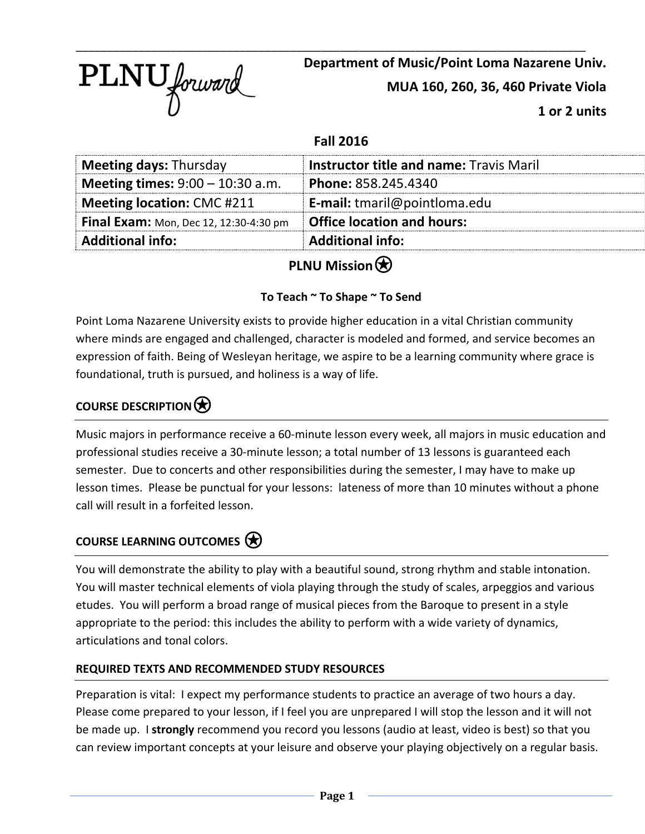

**Department of Music/Point Loma Nazarene Univ.**

**MUA 160, 260, 36, 460 Private Viola**

**1 or 2 units**

#### **Fall 2016**

| <b>Meeting days: Thursday</b>                 | <b>Instructor title and name: Travis Maril</b> |
|-----------------------------------------------|------------------------------------------------|
| <b>Meeting times:</b> $9:00 - 10:30$ a.m.     | Phone: 858.245.4340                            |
| <b>Meeting location: CMC #211</b>             | <b>E-mail:</b> tmaril@pointloma.edu            |
| <b>Final Exam:</b> Mon, Dec 12, 12:30-4:30 pm | <b>Office location and hours:</b>              |
| <b>Additional info:</b>                       | <b>Additional info:</b>                        |

**PLNU Mission** $\bigcirc$ 

#### **To Teach ~ To Shape ~ To Send**

Point Loma Nazarene University exists to provide higher education in a vital Christian community where minds are engaged and challenged, character is modeled and formed, and service becomes an expression of faith. Being of Wesleyan heritage, we aspire to be a learning community where grace is foundational, truth is pursued, and holiness is a way of life.

## **COURSE DESCRIPTION**⍟

Music majors in performance receive a 60-minute lesson every week, all majors in music education and professional studies receive a 30-minute lesson; a total number of 13 lessons is guaranteed each semester. Due to concerts and other responsibilities during the semester, I may have to make up lesson times. Please be punctual for your lessons: lateness of more than 10 minutes without a phone call will result in a forfeited lesson.

### **COURSE LEARNING OUTCOMES**⍟

You will demonstrate the ability to play with a beautiful sound, strong rhythm and stable intonation. You will master technical elements of viola playing through the study of scales, arpeggios and various etudes. You will perform a broad range of musical pieces from the Baroque to present in a style appropriate to the period: this includes the ability to perform with a wide variety of dynamics, articulations and tonal colors.

#### **REQUIRED TEXTS AND RECOMMENDED STUDY RESOURCES**

Preparation is vital: I expect my performance students to practice an average of two hours a day. Please come prepared to your lesson, if I feel you are unprepared I will stop the lesson and it will not be made up. I **strongly** recommend you record you lessons (audio at least, video is best) so that you can review important concepts at your leisure and observe your playing objectively on a regular basis.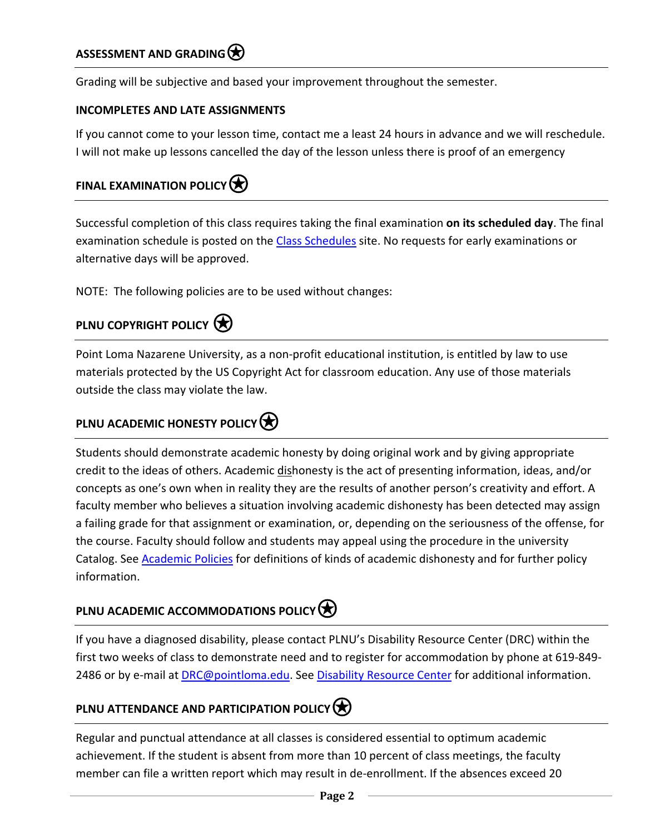Grading will be subjective and based your improvement throughout the semester.

#### **INCOMPLETES AND LATE ASSIGNMENTS**

If you cannot come to your lesson time, contact me a least 24 hours in advance and we will reschedule. I will not make up lessons cancelled the day of the lesson unless there is proof of an emergency

### **FINAL EXAMINATION POLICY**

Successful completion of this class requires taking the final examination **on its scheduled day**. The final examination schedule is posted on the [Class Schedules](http://www.pointloma.edu/experience/academics/class-schedules) site. No requests for early examinations or alternative days will be approved.

NOTE: The following policies are to be used without changes:

# **PLNU COPYRIGHT POLICY**

Point Loma Nazarene University, as a non-profit educational institution, is entitled by law to use materials protected by the US Copyright Act for classroom education. Any use of those materials outside the class may violate the law.

# **PLNU ACADEMIC HONESTY POLICY**

Students should demonstrate academic honesty by doing original work and by giving appropriate credit to the ideas of others. Academic dishonesty is the act of presenting information, ideas, and/or concepts as one's own when in reality they are the results of another person's creativity and effort. A faculty member who believes a situation involving academic dishonesty has been detected may assign a failing grade for that assignment or examination, or, depending on the seriousness of the offense, for the course. Faculty should follow and students may appeal using the procedure in the university Catalog. See [Academic Policies](http://catalog.pointloma.edu/content.php?catoid=18&navoid=1278) for definitions of kinds of academic dishonesty and for further policy information.

# **PLNU ACADEMIC ACCOMMODATIONS POLICY**

If you have a diagnosed disability, please contact PLNU's Disability Resource Center (DRC) within the first two weeks of class to demonstrate need and to register for accommodation by phone at 619-849- 2486 or by e-mail at [DRC@pointloma.edu.](mailto:DRC@pointloma.edu) See [Disability Resource Center](http://www.pointloma.edu/experience/offices/administrative-offices/academic-advising-office/disability-resource-center) for additional information.

## **PLNU ATTENDANCE AND PARTICIPATION POLICY**

Regular and punctual attendance at all classes is considered essential to optimum academic achievement. If the student is absent from more than 10 percent of class meetings, the faculty member can file a written report which may result in de-enrollment. If the absences exceed 20